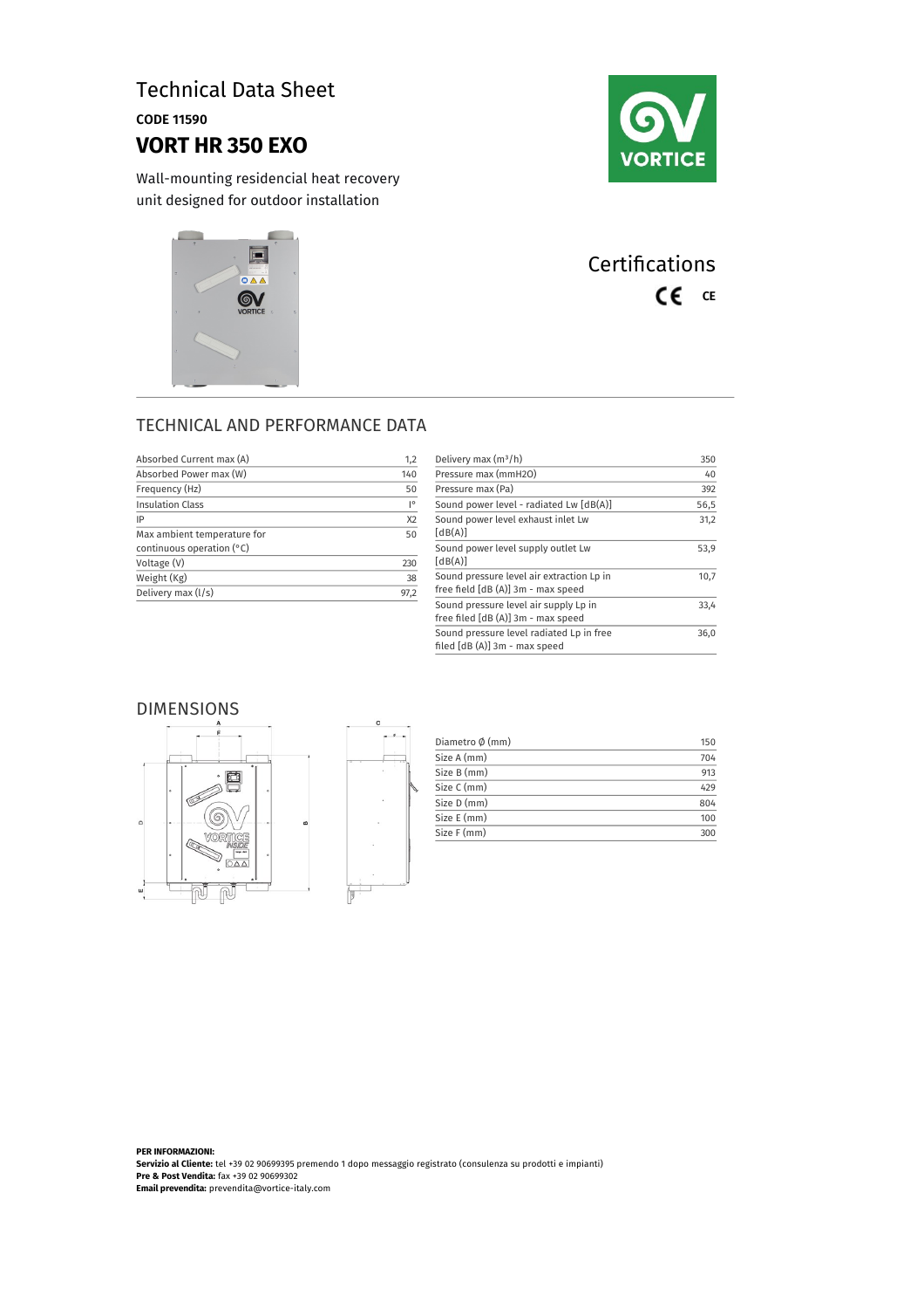# Technical Data Sheet

CODE 11590

# **VORT HR 350 EXO**

Wall-mounting residencial heat recovery unit designed for outdoor installation





# **Certifications** CE CE

### TECHNICAL AND PERFORMANCE DATA

| Absorbed Current max (A)                                   | 1,2                |
|------------------------------------------------------------|--------------------|
| Absorbed Power max (W)                                     | 140                |
| Frequency (Hz)                                             | 50                 |
| <b>Insulation Class</b>                                    | $\mathsf{I}^\circ$ |
| IP                                                         | X <sub>2</sub>     |
| Max ambient temperature for<br>continuous operation $(°C)$ | 50                 |
| Voltage (V)                                                | 230                |
| Weight (Kg)                                                | 38                 |
| Delivery max (l/s)                                         | 97.2               |

| Delivery max $(m^3/h)$                                                          | 350  |
|---------------------------------------------------------------------------------|------|
| Pressure max (mmH2O)                                                            | 40   |
| Pressure max (Pa)                                                               | 392  |
| Sound power level - radiated Lw [dB(A)]                                         | 56,5 |
| Sound power level exhaust inlet Lw<br>[dB(A)]                                   | 31,2 |
| Sound power level supply outlet Lw<br>[dB(A)]                                   | 53,9 |
| Sound pressure level air extraction Lp in<br>free field [dB (A)] 3m - max speed | 10,7 |
| Sound pressure level air supply Lp in<br>free filed [dB (A)] 3m - max speed     | 33.4 |
| Sound pressure level radiated Lp in free<br>filed [dB (A)] 3m - max speed       | 36,0 |

#### DIMENSIONS





| Diametro Ø (mm) | 150 |
|-----------------|-----|
| Size A (mm)     | 704 |
| Size B (mm)     | 913 |
| Size C (mm)     | 429 |
| Size D (mm)     | 804 |
| Size E (mm)     | 100 |
| Size F (mm)     | 300 |
|                 |     |

**PER INFORMAZIONI: Servizio al Cliente:** tel +39 02 90699395 premendo 1 dopo messaggio registrato (consulenza su prodotti e impianti) **Pre & Post Vendita:** fax +39 02 90699302 **Email prevendita:** prevendita@vortice-italy.com